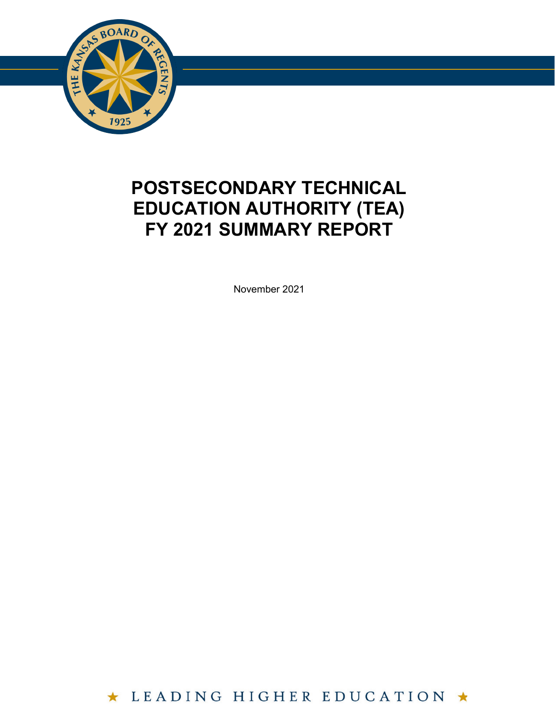

## **POSTSECONDARY TECHNICAL EDUCATION AUTHORITY (TEA) FY 2021 SUMMARY REPORT**

November 2021

★ LEADING HIGHER EDUCATION ★